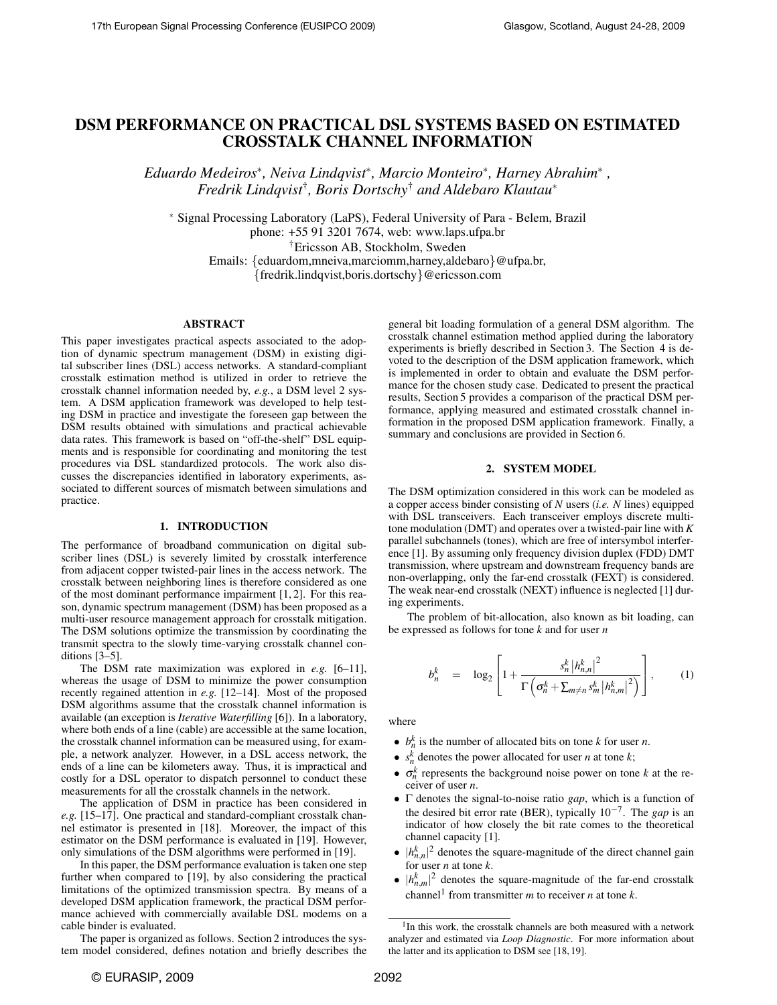# DSM PERFORMANCE ON PRACTICAL DSL SYSTEMS BASED ON ESTIMATED CROSSTALK CHANNEL INFORMATION

*Eduardo Medeiros*<sup>∗</sup> *, Neiva Lindqvist*<sup>∗</sup> *, Marcio Monteiro*<sup>∗</sup> *, Harney Abrahim*<sup>∗</sup> *, Fredrik Lindqvist*† *, Boris Dortschy*† *and Aldebaro Klautau*<sup>∗</sup>

<sup>∗</sup> Signal Processing Laboratory (LaPS), Federal University of Para - Belem, Brazil phone: +55 91 3201 7674, web: www.laps.ufpa.br

†Ericsson AB, Stockholm, Sweden

Emails: {eduardom,mneiva,marciomm,harney,aldebaro}@ufpa.br, {fredrik.lindqvist,boris.dortschy}@ericsson.com

### ABSTRACT

This paper investigates practical aspects associated to the adoption of dynamic spectrum management (DSM) in existing digital subscriber lines (DSL) access networks. A standard-compliant crosstalk estimation method is utilized in order to retrieve the crosstalk channel information needed by, *e.g.*, a DSM level 2 system. A DSM application framework was developed to help testing DSM in practice and investigate the foreseen gap between the DSM results obtained with simulations and practical achievable data rates. This framework is based on "off-the-shelf" DSL equipments and is responsible for coordinating and monitoring the test procedures via DSL standardized protocols. The work also discusses the discrepancies identified in laboratory experiments, associated to different sources of mismatch between simulations and practice.

# 1. INTRODUCTION

The performance of broadband communication on digital subscriber lines (DSL) is severely limited by crosstalk interference from adjacent copper twisted-pair lines in the access network. The crosstalk between neighboring lines is therefore considered as one of the most dominant performance impairment [1, 2]. For this reason, dynamic spectrum management (DSM) has been proposed as a multi-user resource management approach for crosstalk mitigation. The DSM solutions optimize the transmission by coordinating the transmit spectra to the slowly time-varying crosstalk channel conditions [3–5].

The DSM rate maximization was explored in *e.g.* [6–11], whereas the usage of DSM to minimize the power consumption recently regained attention in *e.g.* [12–14]. Most of the proposed DSM algorithms assume that the crosstalk channel information is available (an exception is *Iterative Waterfilling* [6]). In a laboratory, where both ends of a line (cable) are accessible at the same location, the crosstalk channel information can be measured using, for example, a network analyzer. However, in a DSL access network, the ends of a line can be kilometers away. Thus, it is impractical and costly for a DSL operator to dispatch personnel to conduct these measurements for all the crosstalk channels in the network.

The application of DSM in practice has been considered in *e.g.* [15–17]. One practical and standard-compliant crosstalk channel estimator is presented in [18]. Moreover, the impact of this estimator on the DSM performance is evaluated in [19]. However, only simulations of the DSM algorithms were performed in [19].

In this paper, the DSM performance evaluation is taken one step further when compared to [19], by also considering the practical limitations of the optimized transmission spectra. By means of a developed DSM application framework, the practical DSM performance achieved with commercially available DSL modems on a cable binder is evaluated.

The paper is organized as follows. Section [2](#page-0-0) introduces the system model considered, defines notation and briefly describes the general bit loading formulation of a general DSM algorithm. The crosstalk channel estimation method applied during the laboratory experiments is briefly described in Section [3.](#page-1-0) The Section [4](#page-1-1) is devoted to the description of the DSM application framework, which is implemented in order to obtain and evaluate the DSM performance for the chosen study case. Dedicated to present the practical results, Section [5](#page-1-2) provides a comparison of the practical DSM performance, applying measured and estimated crosstalk channel information in the proposed DSM application framework. Finally, a summary and conclusions are provided in Section [6.](#page-4-0)

# 2. SYSTEM MODEL

<span id="page-0-0"></span>The DSM optimization considered in this work can be modeled as a copper access binder consisting of *N* users (*i.e. N* lines) equipped with DSL transceivers. Each transceiver employs discrete multitone modulation (DMT) and operates over a twisted-pair line with *K* parallel subchannels (tones), which are free of intersymbol interference [1]. By assuming only frequency division duplex (FDD) DMT transmission, where upstream and downstream frequency bands are non-overlapping, only the far-end crosstalk (FEXT) is considered. The weak near-end crosstalk (NEXT) influence is neglected [1] during experiments.

The problem of bit-allocation, also known as bit loading, can be expressed as follows for tone *k* and for user *n*

$$
b_n^k = \log_2 \left[ 1 + \frac{s_n^k |h_{n,n}^k|^2}{\Gamma\left(\sigma_n^k + \sum_{m \neq n} s_m^k |h_{n,m}^k|^2\right)} \right],
$$
 (1)

where

- $b_n^k$  is the number of allocated bits on tone *k* for user *n*.
- $s_n^k$  denotes the power allocated for user *n* at tone *k*;
- $\sigma_n^k$  represents the background noise power on tone *k* at the receiver of user *n*.
- Γ denotes the signal-to-noise ratio *gap*, which is a function of the desired bit error rate (BER), typically 10−<sup>7</sup> . The *gap* is an indicator of how closely the bit rate comes to the theoretical channel capacity [1].
- $|h_{n,n}^k|^2$  denotes the square-magnitude of the direct channel gain for user *n* at tone *k*.
- $|h_{n,m}^k|^2$  denotes the square-magnitude of the far-end crosstalk channel<sup>[1](#page-0-1)</sup> from transmitter *m* to receiver *n* at tone *k*.

<span id="page-0-1"></span><sup>&</sup>lt;sup>1</sup>In this work, the crosstalk channels are both measured with a network analyzer and estimated via *Loop Diagnostic*. For more information about the latter and its application to DSM see [18, 19].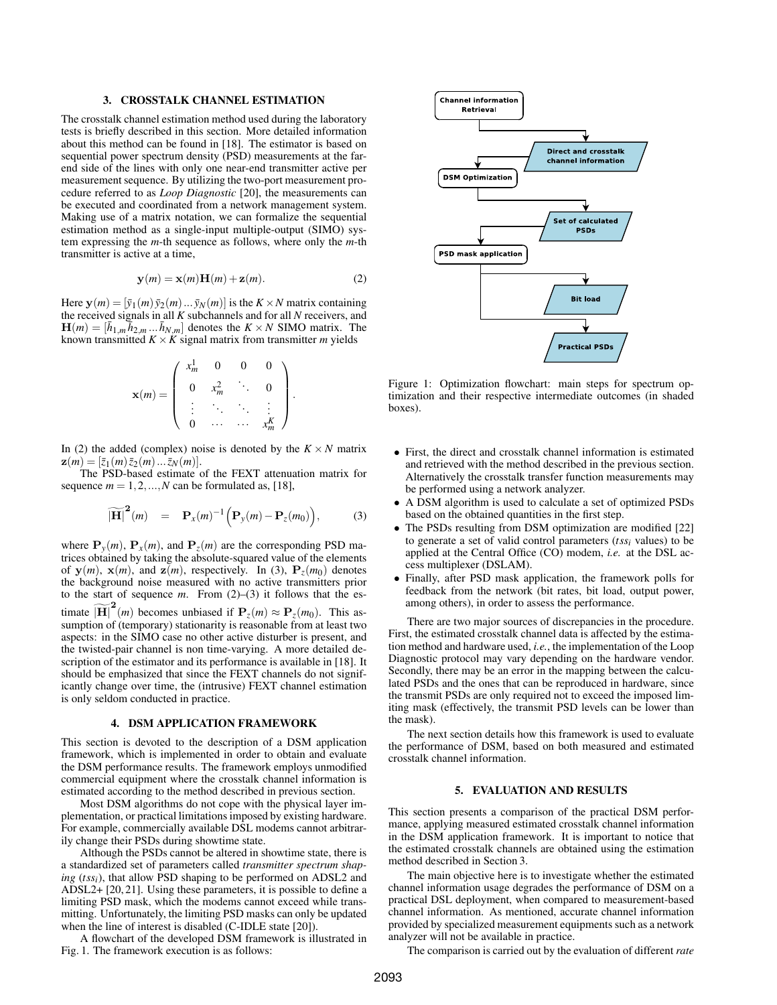#### 3. CROSSTALK CHANNEL ESTIMATION

<span id="page-1-0"></span>The crosstalk channel estimation method used during the laboratory tests is briefly described in this section. More detailed information about this method can be found in [18]. The estimator is based on sequential power spectrum density (PSD) measurements at the farend side of the lines with only one near-end transmitter active per measurement sequence. By utilizing the two-port measurement procedure referred to as *Loop Diagnostic* [20], the measurements can be executed and coordinated from a network management system. Making use of a matrix notation, we can formalize the sequential estimation method as a single-input multiple-output (SIMO) system expressing the *m*-th sequence as follows, where only the *m*-th transmitter is active at a time,

<span id="page-1-3"></span>
$$
\mathbf{y}(m) = \mathbf{x}(m)\mathbf{H}(m) + \mathbf{z}(m). \tag{2}
$$

Here  $\mathbf{y}(m) = [\bar{y}_1(m) \bar{y}_2(m) \dots \bar{y}_N(m)]$  is the  $K \times N$  matrix containing the received signals in all *K* subchannels and for all *N* receivers, and  $\mathbf{H}(m) = [\bar{h}_{1,m}\bar{h}_{2,m} \dots \bar{h}_{N,m}]$  denotes the  $K \times N$  SIMO matrix. The known transmitted  $K \times K$  signal matrix from transmitter *m* yields

<span id="page-1-4"></span>
$$
\mathbf{x}(m) = \left( \begin{array}{cccc} x_m^1 & 0 & 0 & 0 \\ 0 & x_m^2 & \ddots & 0 \\ \vdots & \ddots & \ddots & \vdots \\ 0 & \cdots & \cdots & x_m^K \end{array} \right).
$$

In [\(2\)](#page-1-3) the added (complex) noise is denoted by the  $K \times N$  matrix  $\mathbf{z}(m) = [\bar{z}_1(m)\bar{z}_2(m)\dots\bar{z}_N(m)].$ 

The PSD-based estimate of the FEXT attenuation matrix for sequence  $m = 1, 2, ..., N$  can be formulated as, [18],

$$
\widetilde{\left|\mathbf{H}\right|}^{2}(m) = \mathbf{P}_{x}(m)^{-1}\Big(\mathbf{P}_{y}(m) - \mathbf{P}_{z}(m_{0})\Big), \tag{3}
$$

where  $P_y(m)$ ,  $P_x(m)$ , and  $P_z(m)$  are the corresponding PSD matrices obtained by taking the absolute-squared value of the elements of  $y(m)$ ,  $x(m)$ , and  $z(m)$ , respectively. In [\(3\)](#page-1-4),  $P_z(m_0)$  denotes the background noise measured with no active transmitters prior to the start of sequence  $m$ . From  $(2)$ – $(3)$  it follows that the estimate  $\widetilde{H}_c^2(m)$  becomes unbiased if  $P_z(m) \approx P_z(m_0)$ . This assumption of (temporary) stationarity is reasonable from at least two aspects: in the SIMO case no other active disturber is present, and the twisted-pair channel is non time-varying. A more detailed description of the estimator and its performance is available in [18]. It should be emphasized that since the FEXT channels do not significantly change over time, the (intrusive) FEXT channel estimation

# 4. DSM APPLICATION FRAMEWORK

is only seldom conducted in practice.

<span id="page-1-1"></span>This section is devoted to the description of a DSM application framework, which is implemented in order to obtain and evaluate the DSM performance results. The framework employs unmodified commercial equipment where the crosstalk channel information is estimated according to the method described in previous section.

Most DSM algorithms do not cope with the physical layer implementation, or practical limitations imposed by existing hardware. For example, commercially available DSL modems cannot arbitrarily change their PSDs during showtime state.

Although the PSDs cannot be altered in showtime state, there is a standardized set of parameters called *transmitter spectrum shaping* (*tssi*), that allow PSD shaping to be performed on ADSL2 and ADSL2+ [20, 21]. Using these parameters, it is possible to define a limiting PSD mask, which the modems cannot exceed while transmitting. Unfortunately, the limiting PSD masks can only be updated when the line of interest is disabled (C-IDLE state [20]).

A flowchart of the developed DSM framework is illustrated in Fig. [1.](#page-1-5) The framework execution is as follows:



<span id="page-1-5"></span>Figure 1: Optimization flowchart: main steps for spectrum optimization and their respective intermediate outcomes (in shaded boxes).

- First, the direct and crosstalk channel information is estimated and retrieved with the method described in the previous section. Alternatively the crosstalk transfer function measurements may be performed using a network analyzer.
- A DSM algorithm is used to calculate a set of optimized PSDs based on the obtained quantities in the first step.
- The PSDs resulting from DSM optimization are modified [22] to generate a set of valid control parameters (*tssi* values) to be applied at the Central Office (CO) modem, *i.e.* at the DSL access multiplexer (DSLAM).
- Finally, after PSD mask application, the framework polls for feedback from the network (bit rates, bit load, output power, among others), in order to assess the performance.

There are two major sources of discrepancies in the procedure. First, the estimated crosstalk channel data is affected by the estimation method and hardware used, *i.e.*, the implementation of the Loop Diagnostic protocol may vary depending on the hardware vendor. Secondly, there may be an error in the mapping between the calculated PSDs and the ones that can be reproduced in hardware, since the transmit PSDs are only required not to exceed the imposed limiting mask (effectively, the transmit PSD levels can be lower than the mask).

The next section details how this framework is used to evaluate the performance of DSM, based on both measured and estimated crosstalk channel information.

### 5. EVALUATION AND RESULTS

<span id="page-1-2"></span>This section presents a comparison of the practical DSM performance, applying measured estimated crosstalk channel information in the DSM application framework. It is important to notice that the estimated crosstalk channels are obtained using the estimation method described in Section [3.](#page-1-0)

The main objective here is to investigate whether the estimated channel information usage degrades the performance of DSM on a practical DSL deployment, when compared to measurement-based channel information. As mentioned, accurate channel information provided by specialized measurement equipments such as a network analyzer will not be available in practice.

The comparison is carried out by the evaluation of different *rate*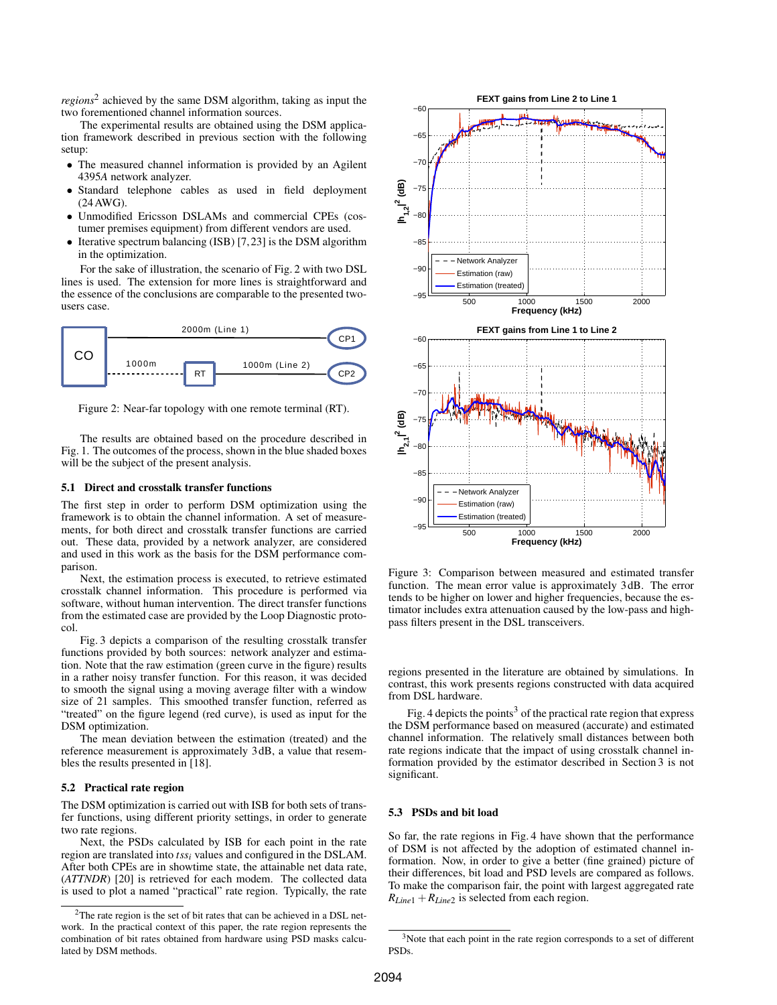*regions*[2](#page-2-0) achieved by the same DSM algorithm, taking as input the two forementioned channel information sources.

The experimental results are obtained using the DSM application framework described in previous section with the following setup:

- The measured channel information is provided by an Agilent 4395*A* network analyzer.
- Standard telephone cables as used in field deployment (24AWG).
- Unmodified Ericsson DSLAMs and commercial CPEs (costumer premises equipment) from different vendors are used.
- Iterative spectrum balancing (ISB) [7,23] is the DSM algorithm in the optimization.

For the sake of illustration, the scenario of Fig. [2](#page-2-1) with two DSL lines is used. The extension for more lines is straightforward and the essence of the conclusions are comparable to the presented twousers case.



<span id="page-2-1"></span>Figure 2: Near-far topology with one remote terminal (RT).

The results are obtained based on the procedure described in Fig. [1.](#page-1-5) The outcomes of the process, shown in the blue shaded boxes will be the subject of the present analysis.

# 5.1 Direct and crosstalk transfer functions

The first step in order to perform DSM optimization using the framework is to obtain the channel information. A set of measurements, for both direct and crosstalk transfer functions are carried out. These data, provided by a network analyzer, are considered and used in this work as the basis for the DSM performance comparison.

Next, the estimation process is executed, to retrieve estimated crosstalk channel information. This procedure is performed via software, without human intervention. The direct transfer functions from the estimated case are provided by the Loop Diagnostic protocol.

Fig. [3](#page-2-2) depicts a comparison of the resulting crosstalk transfer functions provided by both sources: network analyzer and estimation. Note that the raw estimation (green curve in the figure) results in a rather noisy transfer function. For this reason, it was decided to smooth the signal using a moving average filter with a window size of 21 samples. This smoothed transfer function, referred as "treated" on the figure legend (red curve), is used as input for the DSM optimization.

The mean deviation between the estimation (treated) and the reference measurement is approximately 3 dB, a value that resembles the results presented in [18].

### 5.2 Practical rate region

The DSM optimization is carried out with ISB for both sets of transfer functions, using different priority settings, in order to generate two rate regions.

Next, the PSDs calculated by ISB for each point in the rate region are translated into *tssi* values and configured in the DSLAM. After both CPEs are in showtime state, the attainable net data rate, (*ATTNDR*) [20] is retrieved for each modem. The collected data is used to plot a named "practical" rate region. Typically, the rate



<span id="page-2-2"></span>Figure 3: Comparison between measured and estimated transfer function. The mean error value is approximately 3 dB. The error tends to be higher on lower and higher frequencies, because the estimator includes extra attenuation caused by the low-pass and highpass filters present in the DSL transceivers.

regions presented in the literature are obtained by simulations. In contrast, this work presents regions constructed with data acquired from DSL hardware.

Fig. [4](#page-3-0) depicts the points<sup>[3](#page-2-3)</sup> of the practical rate region that express the DSM performance based on measured (accurate) and estimated channel information. The relatively small distances between both rate regions indicate that the impact of using crosstalk channel information provided by the estimator described in Section [3](#page-1-0) is not significant.

# 5.3 PSDs and bit load

So far, the rate regions in Fig. [4](#page-3-0) have shown that the performance of DSM is not affected by the adoption of estimated channel information. Now, in order to give a better (fine grained) picture of their differences, bit load and PSD levels are compared as follows. To make the comparison fair, the point with largest aggregated rate  $R_{Line1} + R_{Line2}$  is selected from each region.

<span id="page-2-0"></span><sup>2</sup>The rate region is the set of bit rates that can be achieved in a DSL network. In the practical context of this paper, the rate region represents the combination of bit rates obtained from hardware using PSD masks calculated by DSM methods.

<span id="page-2-3"></span><sup>&</sup>lt;sup>3</sup>Note that each point in the rate region corresponds to a set of different PSDs.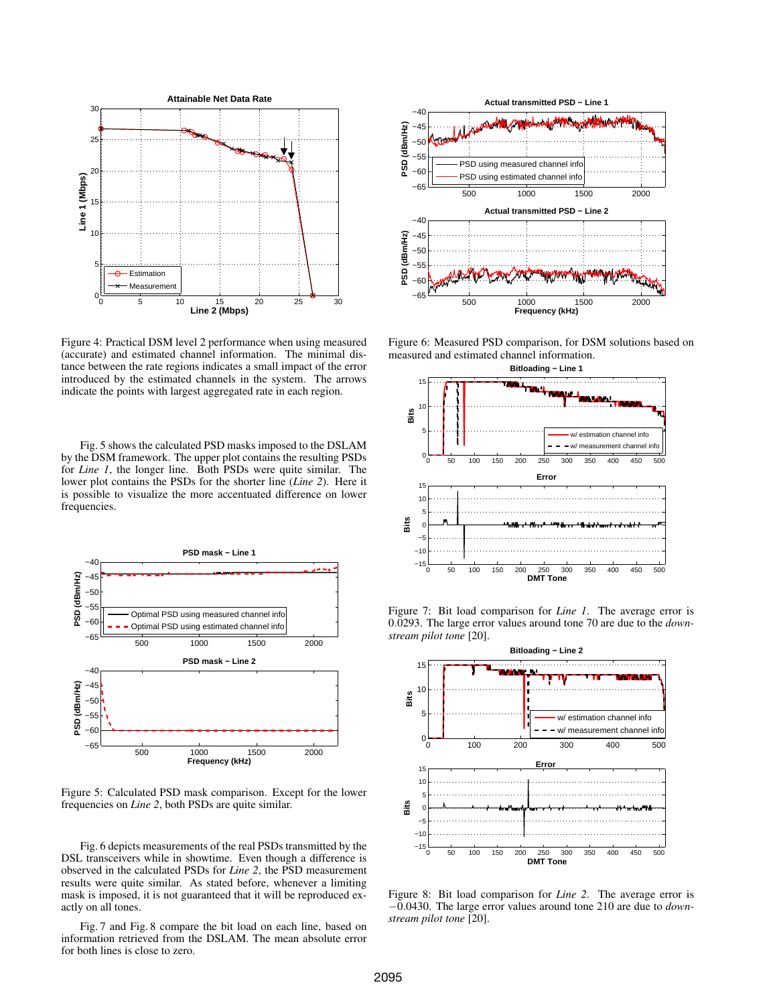

<span id="page-3-0"></span>Figure 4: Practical DSM level 2 performance when using measured (accurate) and estimated channel information. The minimal distance between the rate regions indicates a small impact of the error introduced by the estimated channels in the system. The arrows indicate the points with largest aggregated rate in each region.

Fig. [5](#page-3-1) shows the calculated PSD masks imposed to the DSLAM by the DSM framework. The upper plot contains the resulting PSDs for *Line 1*, the longer line. Both PSDs were quite similar. The lower plot contains the PSDs for the shorter line (*Line 2*). Here it is possible to visualize the more accentuated difference on lower frequencies.



<span id="page-3-1"></span>Figure 5: Calculated PSD mask comparison. Except for the lower frequencies on *Line 2*, both PSDs are quite similar.

Fig. [6](#page-3-2) depicts measurements of the real PSDs transmitted by the DSL transceivers while in showtime. Even though a difference is observed in the calculated PSDs for *Line 2*, the PSD measurement results were quite similar. As stated before, whenever a limiting mask is imposed, it is not guaranteed that it will be reproduced exactly on all tones.

Fig. [7](#page-3-3) and Fig. [8](#page-3-4) compare the bit load on each line, based on information retrieved from the DSLAM. The mean absolute error for both lines is close to zero.



Figure 6: Measured PSD comparison, for DSM solutions based on measured and estimated channel information.

<span id="page-3-2"></span>

<span id="page-3-3"></span>Figure 7: Bit load comparison for *Line 1*. The average error is 0.0293. The large error values around tone 70 are due to the *downstream pilot tone* [20].



<span id="page-3-4"></span>Figure 8: Bit load comparison for *Line 2*. The average error is −0.0430. The large error values around tone 210 are due to *downstream pilot tone* [20].